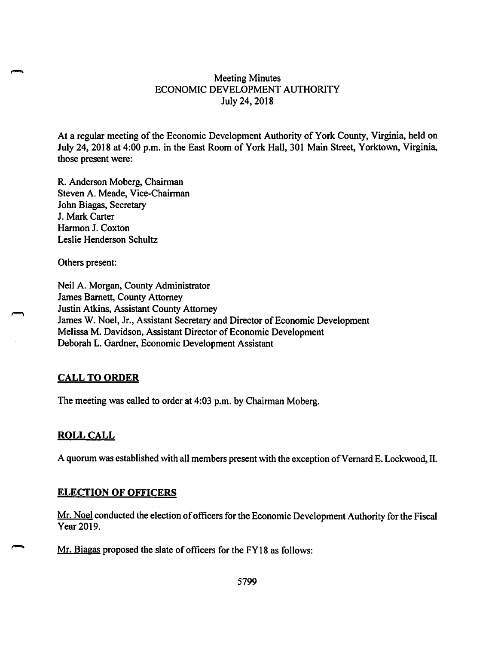## Meeting Minutes ECONOMIC DEVELOPMENT AUTHORITY July 24, 2018

At a regular meeting of the Economic Development Authority of York County, Virginia, held on July 24, 2018 at 4:00 p.m. in the East Room of York Hall, 301 Main Street, Yorktown, Virginia, those present were:

R. Anderson Moberg, Chairman Steven A. Meade, Vice-Chairman John Biagas, Secretary J. Mark Carter Harmon J. Coxton Leslie Henderson Schultz

Others present:

Neil A. Morgan, County Administrator James Barnett, County Attorney Justin Atkins, Assistant County Attorney James W. Noel, Jr., Assistant Secretary and Director of Economic Development Melissa M. Davidson, Assistant Director of Economic Development Deborah L. Gardner, Economic Development Assistant

## **CALL TO ORDER**

The meeting was called to order at 4:03 p.m. by Chairman Moberg.

## **ROLL CALL**

A quorum was established with all members present with the exception of Vernard E. Lockwood, II.

#### **ELECTION OF OFFICERS**

Mr. Noel conducted the election of officers for the Economic Development Authority for the Fiscal Year 2019.

Mr. Biagas proposed the slate of officers for the FY18 as follows: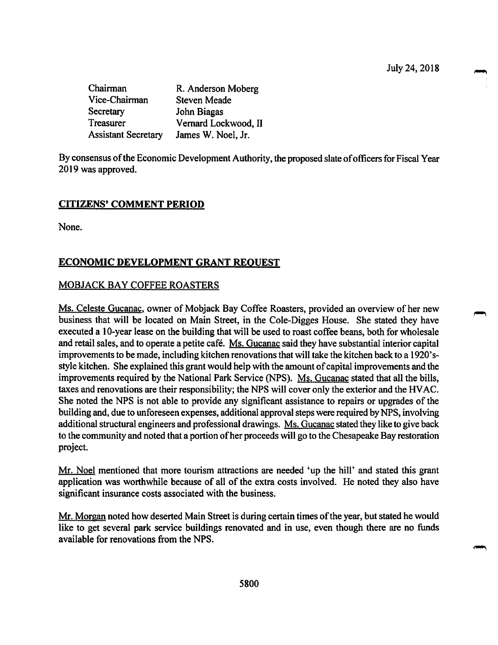Chairman R. Anderson Moberg<br>Vice-Chairman Steven Meade Steven Meade Secretary John Biagas Treasurer Vernard Lockwood, II<br>Assistant Secretary James W. Noel, Jr. Assistant Secretary

By consensus of the Economic Development Authority, the proposed slate of officers for Fiscal Year 2019 was approved.

# **CITIZENS' COMMENT PERIOD**

None.

## **ECONOMIC DEVELOPMENT GRANT REQUEST**

## MOBJACK BAY COFFEE ROASTERS

Ms. Celeste Gucanac, owner of Mobjack Bay Coffee Roasters, provided an overview of her new business that will be located on Main Street, in the Cole-Digges House. She stated they have executed a 10-year lease on the building that will be used to roast coffee beans, both for wholesale and retail sales, and to operate a petite cafe. Ms. Gucanac said they have substantial interior capital improvements to be made, including kitchen renovations that will take the kitchen back to a 1920'sstyle kitchen. She explained this grant would help with the amount of capital improvements and the improvements required by the National Park Service (NPS). Ms. Gucanac stated that all the bills, taxes and renovations are their responsibility; the NPS will cover only the exterior and the HVAC. She noted the NPS is not able to provide any significant assistance to repairs or upgrades of the building and, due to unforeseen expenses, additional approval steps were required by NPS, involving additional structural engineers and professional drawings. Ms. Gucanac stated they like to give back to the community and noted that a portion of her proceeds will go to the Chesapeake Bay restoration project.

Mr. Noel mentioned that more tourism attractions are needed 'up the hill' and stated this grant application was worthwhile because of all of the extra costs involved. He noted they also have significant insurance costs associated with the business.

Mr. Morgan noted how deserted Main Street is during certain times of the year, but stated he would like to get several park service buildings renovated and in use, even though there are no funds available for renovations from the NPS.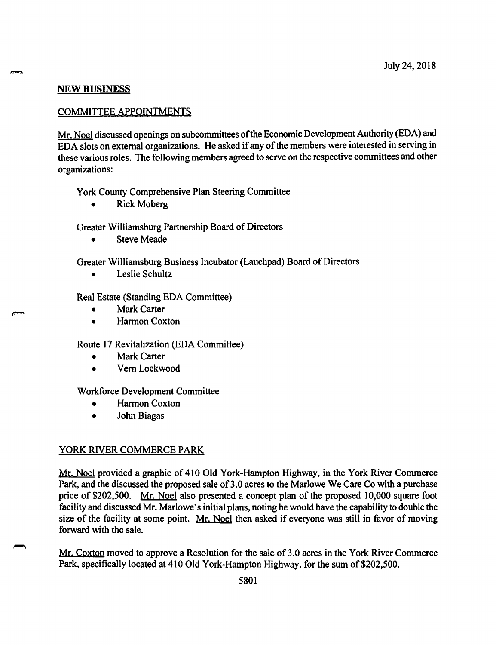## **NEW BUSINESS**

## COMMITTEE APPOINTMENTS

Mr. Noel discussed openings on subcommittees of the Economic Development Authority (EDA) and EDA slots on external organizations. He asked if any of the members were interested in serving in these various roles. The following members agreed to serve on the respective committees and other organizations:

York County Comprehensive Plan Steering Committee

• Rick Moberg

Greater Williamsburg Partnership Board of Directors

• Steve Meade

Greater Williamsburg Business Incubator (Lauchpad) Board of Directors

• Leslie Schultz

Real Estate (Standing EDA Committee)

- Mark Carter
- Harmon Coxton

Route 17 Revitalization (EDA Committee)

- **Mark Carter**
- Vern Lockwood

Workforce Development Committee

- Harmon Coxton
- John Biagas

# YORK RIVER COMMERCE PARK

Mr. Noel provided a graphic of 410 Old York-Hampton Highway, in the York River Commerce Park, and the discussed the proposed sale of 3.0 acres to the Marlowe We Care Co with a purchase price of \$202,500. Mr. Noel also presented a concept plan of the proposed 10,000 square foot facility and discussed Mr. Marlowe's initial plans, noting he would have the capability to double the size of the facility at some point. Mr. Noel then asked if everyone was still in favor of moving forward with the sale.

Mr. Coxton moved to approve a Resolution for the sale of 3.0 acres in the York River Commerce Park, specifically located at 410 Old York-Hampton Highway, for the sum of \$202,500.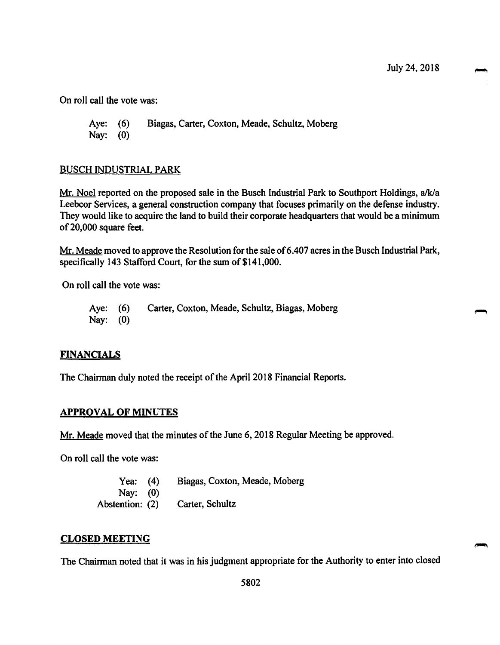On roll call the vote was:

Aye: (6) Biagas, Carter, Coxton, Meade, Schultz, Moberg Nay: (0)

### BUSCH INDUSTRIAL PARK

Mr. Noel reported on the proposed sale in the Busch Industrial Park to Southport Holdings, a/k/a Leebcor Services, a general construction company that focuses primarily on the defense industry. They would like to acquire the land to build their corporate headquarters that would be a minimum of 20,000 square feet.

Mr. Meade moved to approve the Resolution for the sale of 6.407 acres in the Busch Industrial Park, specifically 143 Stafford Court, for the sum of \$141,000.

On roll call the vote was:

Aye: (6) Carter, Coxton, Meade, Schultz, Biagas, Moberg Nay: (0)

#### **FINANCIALS**

The Chairman duly noted the receipt of the April 2018 Financial Reports.

#### **APPROVAL OF MINUTES**

Mr. Meade moved that the minutes of the June 6, 2018 Regular Meeting be approved.

On roll call the vote was:

Yea: (4) Biagas, Coxton, Meade, Moberg Nay: (0) Abstention: (2) Carter, Schultz

#### **CLOSED MEETING**

The Chairman noted that it was in his judgment appropriate for the Authority to enter into closed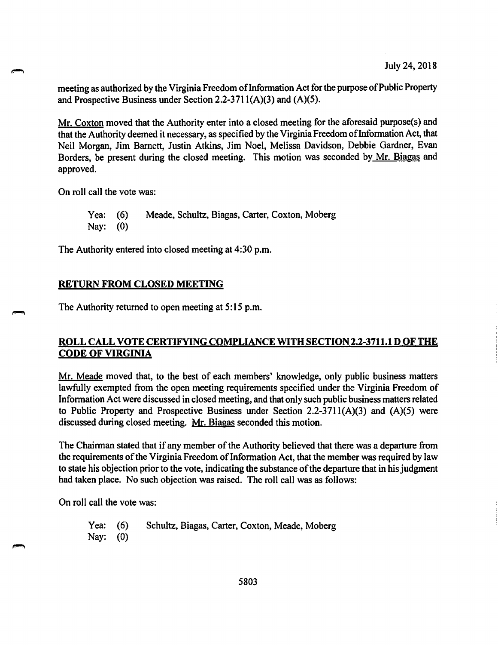meeting as authorized by the Virginia Freedom of Information Act for the purpose of Public Property and Prospective Business under Section 2.2-371 l(A)(3) and (A)(5).

Mr. Coxton moved that the Authority enter into a closed meeting for the aforesaid purpose(s) and that the Authority deemed it necessary, as specified by the Virginia Freedom of Information Act, that Neil Morgan, Jim Barnett, Justin Atkins, Jim Noel, Melissa Davidson, Debbie Gardner, Evan Borders, be present during the closed meeting. This motion was seconded by Mr. Biagas and approved.

On roll call the vote was:

Yea: (6) Meade, Schultz, Biagas, Carter, Coxton, Moberg Nay: (0)

The Authority entered into closed meeting at 4:30 p.m.

#### **RETURN FROM CLOSED MEETING**

The Authority returned to open meeting at 5:15 p.m.

## **ROLL CALL VOTE CERTIFYING COMPLIANCE WITH SECTION 2.2-3711.1 D OF THE CODE OF VIRGINIA**

Mr. Meade moved that, to the best of each members' knowledge, only public business matters lawfully exempted from the open meeting requirements specified under the Virginia Freedom of Information Act were discussed in closed meeting, and that only such public business matters related to Public Property and Prospective Business under Section  $2.2\n-3711(A)(3)$  and  $(A)(5)$  were discussed during closed meeting. Mr. Biagas seconded this motion.

The Chairman stated that if any member of the Authority believed that there was a departure from the requirements of the Virginia Freedom of Information Act, that the member was required by law to state his objection prior to the vote, indicating the substance of the departure that in his judgment had taken place. No such objection was raised. The roll call was as follows:

On roll call the vote was:

Yea: (6) Schultz, Biagas, Carter, Coxton, Meade, Moberg Nay: (0)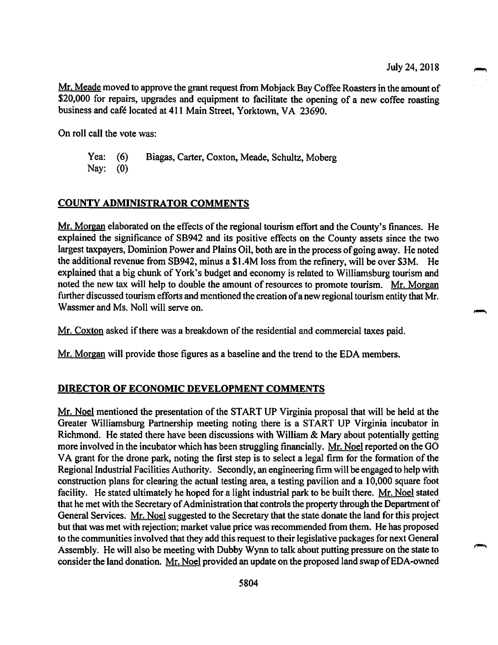Mr. Meade moved to approve the grant request from Mobjack Bay Coffee Roasters in the amount of \$20,000 for repairs, upgrades and equipment to facilitate the opening of a new coffee roasting business and cafe located at 411 Main Street, Yorktown, VA 23690.

On roll call the vote was:

Yea: (6) Biagas, Carter, Coxton, Meade, Schultz, Moberg Nay: (0)

### **COUNTY ADMINISTRATOR COMMENTS**

Mr. Morgan elaborated on the effects of the regional tourism effort and the County's finances. He explained the significance of SB942 and its positive effects on the County assets since the two largest taxpayers, Dominion Power and Plains Oil, both are in the process of going away. He noted the additional revenue from SB942, minus a \$1.4M loss from the refinery, will be over \$3M. He explained that a big chunk of York's budget and economy is related to Williamsburg tourism and noted the new tax will help to double the amount of resources to promote tourism. Mr. Morgan further discussed tourism efforts and mentioned the creation of a new regional tourism entity that Mr. Wassmer and Ms. Noll will serve on.

Mr. Coxton asked if there was a breakdown of the residential and commercial taxes paid.

Mr. Morgan will provide those figures as a baseline and the trend to the EDA members.

### **DIRECTOR OF ECONOMIC DEVELOPMENT COMMENTS**

Mr. Noel mentioned the presentation of the START UP Virginia proposal that will be held at the Greater Williamsburg Partnership meeting noting there is a START UP Virginia incubator in Richmond. He stated there have been discussions with William & Mary about potentially getting more involved in the incubator which has been struggling financially. Mr. Noel reported on the GO VA grant for the drone park, noting the first step is to select a legal firm for the formation of the Regional Industrial Facilities Authority. Secondly, an engineering firm will be engaged to help with construction plans for clearing the actual testing area, a testing pavilion and a 10,000 square foot facility. He stated ultimately he hoped for a light industrial park to be built there. Mr. Noel stated that he met with the Secretary of Administration that controls the property through the Department of General Services. Mr. Noel suggested to the Secretary that the state donate the land for this project but that was met with rejection; market value price was recommended from them. He has proposed to the communities involved that they add this request to their legislative packages for next General Assembly. He will also be meeting with Dubby Wynn to talk about putting pressure on the state to consider the land donation. Mr. Noel provided an update on the proposed land swap of EDA-owned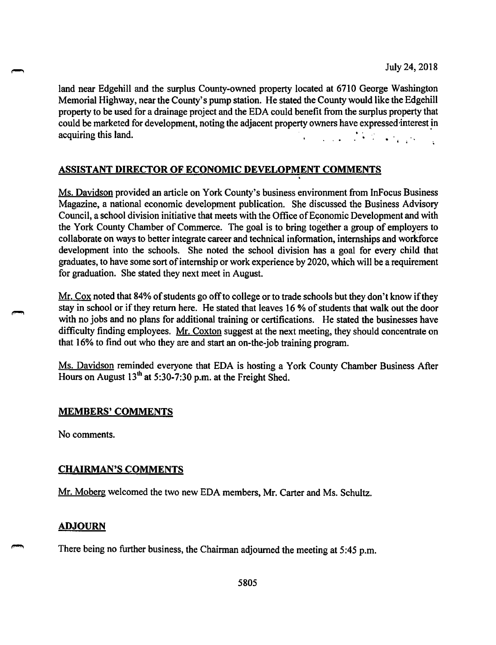land near Edgehill and the surplus County-owned property located at 6710 George Washington Memorial Highway, near the County's pump station. He stated the County would like the Edgehill property to be used for a drainage project and the EDA could benefit from the surplus property that could be marketed for development, noting the adjacent property owners have expressed interest in acquiring this land.  $\mathbb{R}^2$ 

# **ASSISTANT DIRECTOR OF ECONOMIC DEVELOPMENT COMMENTS**

Ms. Davidson provided an article on York County's business environment from InFocus Business Magazine, a national economic development publication. She discussed the Business Advisory Council, a school division initiative that meets with the Office of Economic Development and with the York County Chamber of Commerce. The goal is to bring together a group of employers to collaborate on ways to better integrate career and technical information, internships and workforce development into the schools. She noted the school division has a goal for every child that graduates, to have some sort of internship or work experience by 2020, which will be a requirement for graduation. She stated they next meet in August.

 $Mr.$  Cox noted that 84% of students go off to college or to trade schools but they don't know if they stay in school or if they return here. He stated that leaves 16 % of students that walk out the door with no jobs and no plans for additional training or certifications. He stated the businesses have difficulty finding employees. Mr. Coxton suggest at the next meeting, they should concentrate on that 16% to find out who they are and start an on-the-job training program.

Ms. Davidson reminded everyone that EDA is hosting a York County Chamber Business After Hours on August  $13<sup>th</sup>$  at 5:30-7:30 p.m. at the Freight Shed.

## **MEMBERS' COMMENTS**

No comments.

# **CHAIRMAN'S COMMENTS**

Mr. Moberg welcomed the two new EDA members, Mr. Carter and Ms. Schultz.

## **ADJOURN**

There being no further business, the Chairman adjourned the meeting at 5:45 p.m.